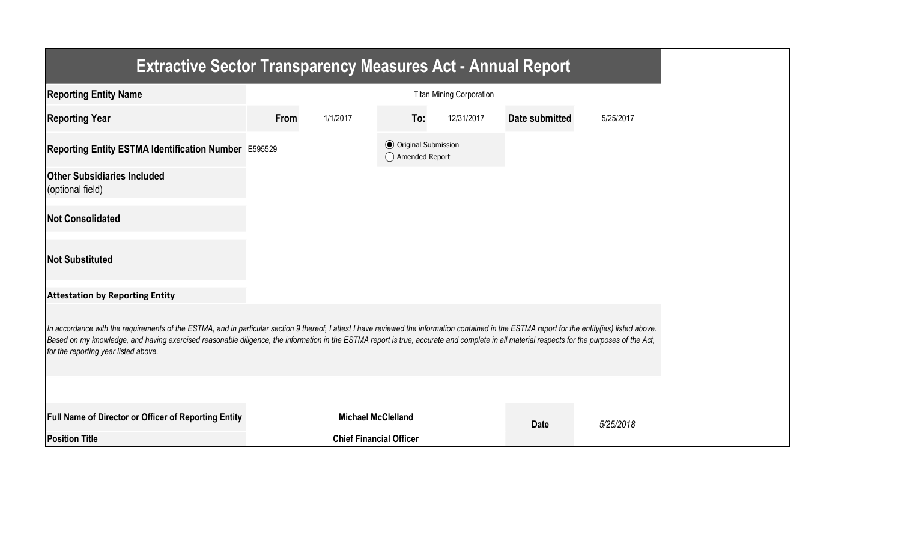| <b>Extractive Sector Transparency Measures Act - Annual Report</b>                                                                                                                                                                                                                                                                                                                                                                    |      |                                |                                                  |                                 |                       |           |
|---------------------------------------------------------------------------------------------------------------------------------------------------------------------------------------------------------------------------------------------------------------------------------------------------------------------------------------------------------------------------------------------------------------------------------------|------|--------------------------------|--------------------------------------------------|---------------------------------|-----------------------|-----------|
| <b>Reporting Entity Name</b>                                                                                                                                                                                                                                                                                                                                                                                                          |      |                                |                                                  | <b>Titan Mining Corporation</b> |                       |           |
| <b>Reporting Year</b>                                                                                                                                                                                                                                                                                                                                                                                                                 | From | 1/1/2017                       | To:                                              | 12/31/2017                      | <b>Date submitted</b> | 5/25/2017 |
| Reporting Entity ESTMA Identification Number E595529                                                                                                                                                                                                                                                                                                                                                                                  |      |                                | <b>◎</b> Original Submission<br>◯ Amended Report |                                 |                       |           |
| <b>Other Subsidiaries Included</b><br>(optional field)                                                                                                                                                                                                                                                                                                                                                                                |      |                                |                                                  |                                 |                       |           |
| <b>Not Consolidated</b>                                                                                                                                                                                                                                                                                                                                                                                                               |      |                                |                                                  |                                 |                       |           |
| <b>Not Substituted</b>                                                                                                                                                                                                                                                                                                                                                                                                                |      |                                |                                                  |                                 |                       |           |
| <b>Attestation by Reporting Entity</b>                                                                                                                                                                                                                                                                                                                                                                                                |      |                                |                                                  |                                 |                       |           |
| In accordance with the requirements of the ESTMA, and in particular section 9 thereof, I attest I have reviewed the information contained in the ESTMA report for the entity(ies) listed above.<br>Based on my knowledge, and having exercised reasonable diligence, the information in the ESTMA report is true, accurate and complete in all material respects for the purposes of the Act,<br>for the reporting year listed above. |      |                                |                                                  |                                 |                       |           |
|                                                                                                                                                                                                                                                                                                                                                                                                                                       |      |                                |                                                  |                                 |                       |           |
| <b>Full Name of Director or Officer of Reporting Entity</b>                                                                                                                                                                                                                                                                                                                                                                           |      | <b>Michael McClelland</b>      |                                                  |                                 | <b>Date</b>           | 5/25/2018 |
| <b>Position Title</b>                                                                                                                                                                                                                                                                                                                                                                                                                 |      | <b>Chief Financial Officer</b> |                                                  |                                 |                       |           |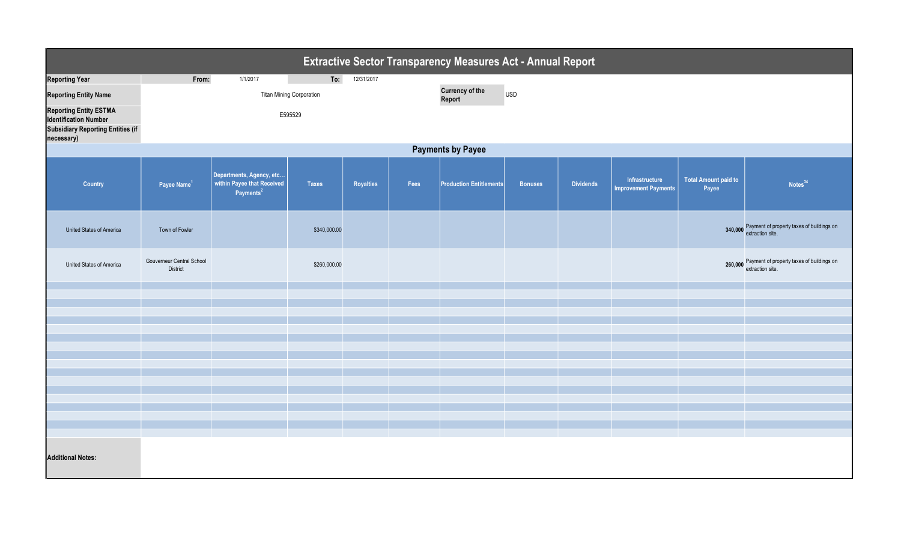| <b>Extractive Sector Transparency Measures Act - Annual Report</b>                                                      |                                              |                                                                                 |              |            |      |                                                |                |                  |                                               |                                      |                                                                       |  |
|-------------------------------------------------------------------------------------------------------------------------|----------------------------------------------|---------------------------------------------------------------------------------|--------------|------------|------|------------------------------------------------|----------------|------------------|-----------------------------------------------|--------------------------------------|-----------------------------------------------------------------------|--|
| <b>Reporting Year</b>                                                                                                   | From:                                        | 1/1/2017                                                                        | To:          | 12/31/2017 |      |                                                |                |                  |                                               |                                      |                                                                       |  |
| <b>Reporting Entity Name</b>                                                                                            | <b>Titan Mining Corporation</b>              |                                                                                 |              |            |      | <b>Currency of the</b><br><b>USD</b><br>Report |                |                  |                                               |                                      |                                                                       |  |
| <b>Reporting Entity ESTMA</b><br><b>Identification Number</b><br><b>Subsidiary Reporting Entities (if</b><br>necessary) |                                              |                                                                                 |              |            |      |                                                |                |                  |                                               |                                      |                                                                       |  |
| <b>Payments by Payee</b>                                                                                                |                                              |                                                                                 |              |            |      |                                                |                |                  |                                               |                                      |                                                                       |  |
| Country                                                                                                                 | Payee Name <sup>1</sup>                      | Departments, Agency, etc<br>within Payee that Received<br>Payments <sup>2</sup> | <b>Taxes</b> | Royalties  | Fees | <b>Production Entitlements</b>                 | <b>Bonuses</b> | <b>Dividends</b> | Infrastructure<br><b>Improvement Payments</b> | <b>Total Amount paid to</b><br>Payee | Notes <sup>34</sup>                                                   |  |
| United States of America                                                                                                | Town of Fowler                               |                                                                                 | \$340,000.00 |            |      |                                                |                |                  |                                               |                                      | 340,000 Payment of property taxes of buildings on<br>extraction site. |  |
| United States of America                                                                                                | Gouverneur Central School<br><b>District</b> |                                                                                 | \$260,000.00 |            |      |                                                |                |                  |                                               |                                      | 260,000 Payment of property taxes of buildings on<br>extraction site. |  |
|                                                                                                                         |                                              |                                                                                 |              |            |      |                                                |                |                  |                                               |                                      |                                                                       |  |
|                                                                                                                         |                                              |                                                                                 |              |            |      |                                                |                |                  |                                               |                                      |                                                                       |  |
|                                                                                                                         |                                              |                                                                                 |              |            |      |                                                |                |                  |                                               |                                      |                                                                       |  |
|                                                                                                                         |                                              |                                                                                 |              |            |      |                                                |                |                  |                                               |                                      |                                                                       |  |
|                                                                                                                         |                                              |                                                                                 |              |            |      |                                                |                |                  |                                               |                                      |                                                                       |  |
|                                                                                                                         |                                              |                                                                                 |              |            |      |                                                |                |                  |                                               |                                      |                                                                       |  |
|                                                                                                                         |                                              |                                                                                 |              |            |      |                                                |                |                  |                                               |                                      |                                                                       |  |
|                                                                                                                         |                                              |                                                                                 |              |            |      |                                                |                |                  |                                               |                                      |                                                                       |  |
|                                                                                                                         |                                              |                                                                                 |              |            |      |                                                |                |                  |                                               |                                      |                                                                       |  |
|                                                                                                                         |                                              |                                                                                 |              |            |      |                                                |                |                  |                                               |                                      |                                                                       |  |
|                                                                                                                         |                                              |                                                                                 |              |            |      |                                                |                |                  |                                               |                                      |                                                                       |  |
|                                                                                                                         |                                              |                                                                                 |              |            |      |                                                |                |                  |                                               |                                      |                                                                       |  |
| <b>Additional Notes:</b>                                                                                                |                                              |                                                                                 |              |            |      |                                                |                |                  |                                               |                                      |                                                                       |  |